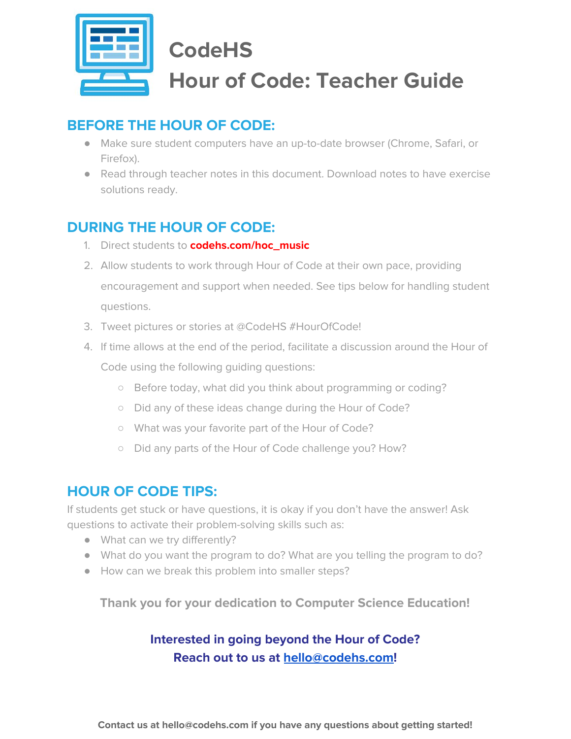

# **CodeHS Hour of Code: Teacher Guide**

# **BEFORE THE HOUR OF CODE:**

- Make sure student computers have an up-to-date browser (Chrome, Safari, or Firefox).
- Read through teacher notes in this document. Download notes to have exercise solutions ready.

# **DURING THE HOUR OF CODE:**

- 1. Direct students to **codehs.com/hoc\_music**
- 2. Allow students to work through Hour of Code at their own pace, providing encouragement and support when needed. See tips below for handling student questions.
- 3. Tweet pictures or stories at @CodeHS #HourOfCode!
- 4. If time allows at the end of the period, facilitate a discussion around the Hour of Code using the following guiding questions:
	- Before today, what did you think about programming or coding?
	- Did any of these ideas change during the Hour of Code?
	- What was your favorite part of the Hour of Code?
	- Did any parts of the Hour of Code challenge you? How?

## **HOUR OF CODE TIPS:**

If students get stuck or have questions, it is okay if you don't have the answer! Ask questions to activate their problem-solving skills such as:

- What can we try differently?
- What do you want the program to do? What are you telling the program to do?
- How can we break this problem into smaller steps?

**Thank you for your dedication to Computer Science Education!**

### **Interested in going beyond the Hour of Code? Reach out to us at [hello@codehs.com](mailto:hello@codehs.com)!**